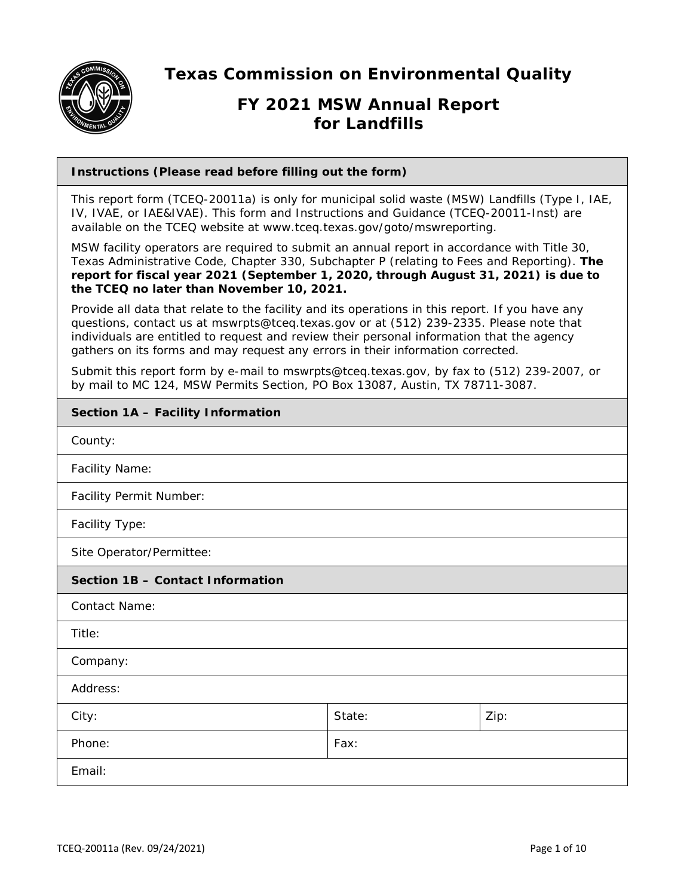

**Texas Commission on Environmental Quality** 

# **FY 2021 MSW Annual Report for Landfills**

# **Instructions (Please read before filling out the form)**

This report form (TCEQ-20011a) is only for municipal solid waste (MSW) Landfills (Type I, IAE, IV, IVAE, or IAE&IVAE). This form and Instructions and Guidance (TCEQ-20011-Inst) are available on the TCEQ website at www.tceq.texas.gov/goto/mswreporting.

MSW facility operators are required to submit an annual report in accordance with Title 30, Texas Administrative Code, Chapter 330, Subchapter P (relating to Fees and Reporting). **The report for fiscal year 2021 (September 1, 2020, through August 31, 2021) is due to the TCEQ no later than November 10, 2021.** 

Provide all data that relate to the facility and its operations in this report. If you have any questions, contact us at mswrpts@tceq.texas.gov or at (512) 239-2335. Please note that individuals are entitled to request and review their personal information that the agency gathers on its forms and may request any errors in their information corrected.

 by mail to MC 124, MSW Permits Section, PO Box 13087, Austin, TX 78711-3087. Submit this report form by e-mail to mswrpts@tceq.texas.gov, by fax to (512) 239-2007, or

| Section 1A - Facility Information |  |
|-----------------------------------|--|
|-----------------------------------|--|

| County:                          |        |      |
|----------------------------------|--------|------|
| <b>Facility Name:</b>            |        |      |
| Facility Permit Number:          |        |      |
| Facility Type:                   |        |      |
| Site Operator/Permittee:         |        |      |
| Section 1B - Contact Information |        |      |
| <b>Contact Name:</b>             |        |      |
| Title:                           |        |      |
| Company:                         |        |      |
| Address:                         |        |      |
| City:                            | State: | Zip: |
| Phone:                           | Fax:   |      |
| Email:                           |        |      |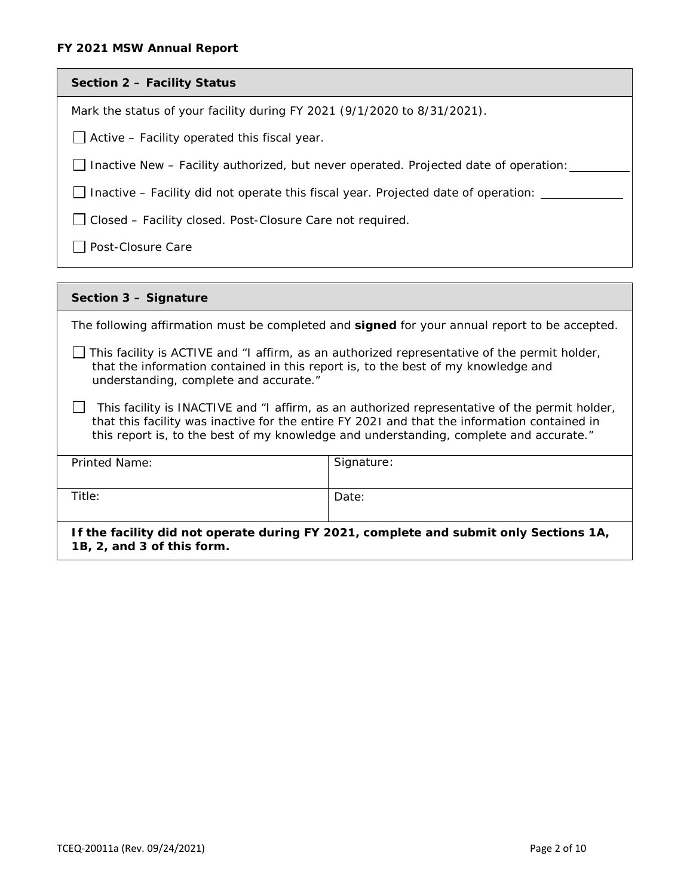#### **Section 2 – Facility Status**

Mark the status of your facility during FY 2021 (9/1/2020 to 8/31/2021).

Active – Facility operated this fiscal year.

Inactive New – Facility authorized, but never operated. Projected date of operation:

Inactive – Facility did not operate this fiscal year. Projected date of operation:

Closed – Facility closed. Post-Closure Care not required.

Post-Closure Care

#### **Section 3 – Signature**

The following affirmation must be completed and **signed** for your annual report to be accepted.

 This facility is ACTIVE and "I affirm, as an authorized representative of the permit holder, that the information contained in this report is, to the best of my knowledge and understanding, complete and accurate."

 $\Box$  This facility is INACTIVE and "I affirm, as an authorized representative of the permit holder, that this facility was inactive for the entire FY 2021 and that the information contained in this report is, to the best of my knowledge and understanding, complete and accurate."

| Printed Name:                                                                         | Signature: |  |
|---------------------------------------------------------------------------------------|------------|--|
| Title:                                                                                | Date:      |  |
| If the facility did not operate during FY 2021, complete and submit only Sections 1A, |            |  |

**1B, 2, and 3 of this form.**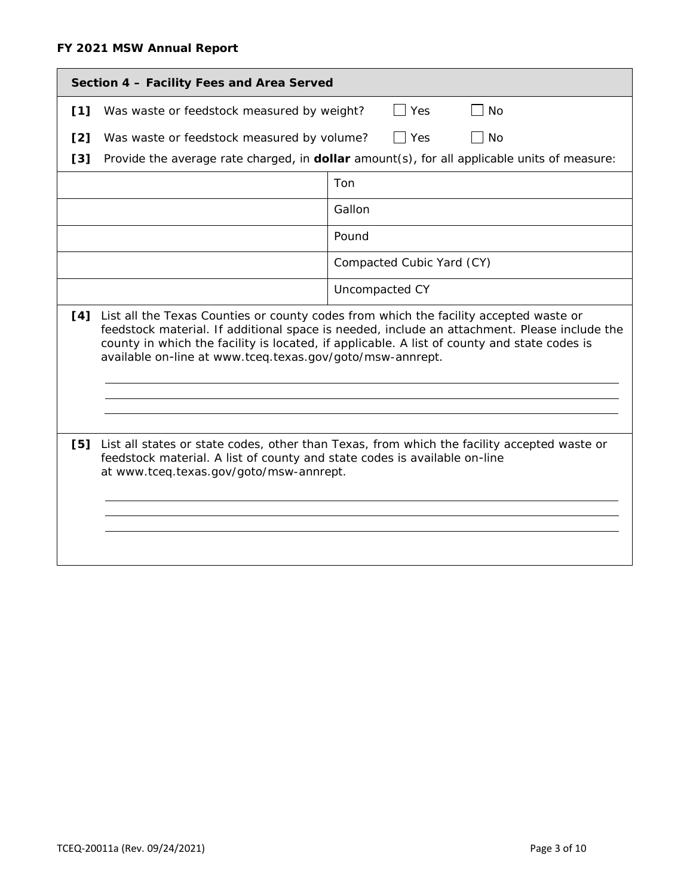# **FY 2021 MSW Annual Report**

| Section 4 - Facility Fees and Area Served |                                                                                                                                                                                                                                                                                                                                                       |                                                                                             |  |  |
|-------------------------------------------|-------------------------------------------------------------------------------------------------------------------------------------------------------------------------------------------------------------------------------------------------------------------------------------------------------------------------------------------------------|---------------------------------------------------------------------------------------------|--|--|
| [1]                                       | Was waste or feedstock measured by weight?                                                                                                                                                                                                                                                                                                            | Yes<br>No                                                                                   |  |  |
| [2]                                       | Was waste or feedstock measured by volume?                                                                                                                                                                                                                                                                                                            | $\Box$ Yes<br><b>No</b>                                                                     |  |  |
| [3]                                       |                                                                                                                                                                                                                                                                                                                                                       | Provide the average rate charged, in dollar amount(s), for all applicable units of measure: |  |  |
|                                           | Ton                                                                                                                                                                                                                                                                                                                                                   |                                                                                             |  |  |
|                                           | Gallon                                                                                                                                                                                                                                                                                                                                                |                                                                                             |  |  |
|                                           |                                                                                                                                                                                                                                                                                                                                                       | Pound                                                                                       |  |  |
|                                           | Compacted Cubic Yard (CY)                                                                                                                                                                                                                                                                                                                             |                                                                                             |  |  |
|                                           |                                                                                                                                                                                                                                                                                                                                                       | Uncompacted CY                                                                              |  |  |
|                                           | [4] List all the Texas Counties or county codes from which the facility accepted waste or<br>feedstock material. If additional space is needed, include an attachment. Please include the<br>county in which the facility is located, if applicable. A list of county and state codes is<br>available on-line at www.tceq.texas.gov/goto/msw-annrept. |                                                                                             |  |  |
|                                           | [5]<br>List all states or state codes, other than Texas, from which the facility accepted waste or<br>feedstock material. A list of county and state codes is available on-line<br>at www.tceq.texas.gov/goto/msw-annrept.                                                                                                                            |                                                                                             |  |  |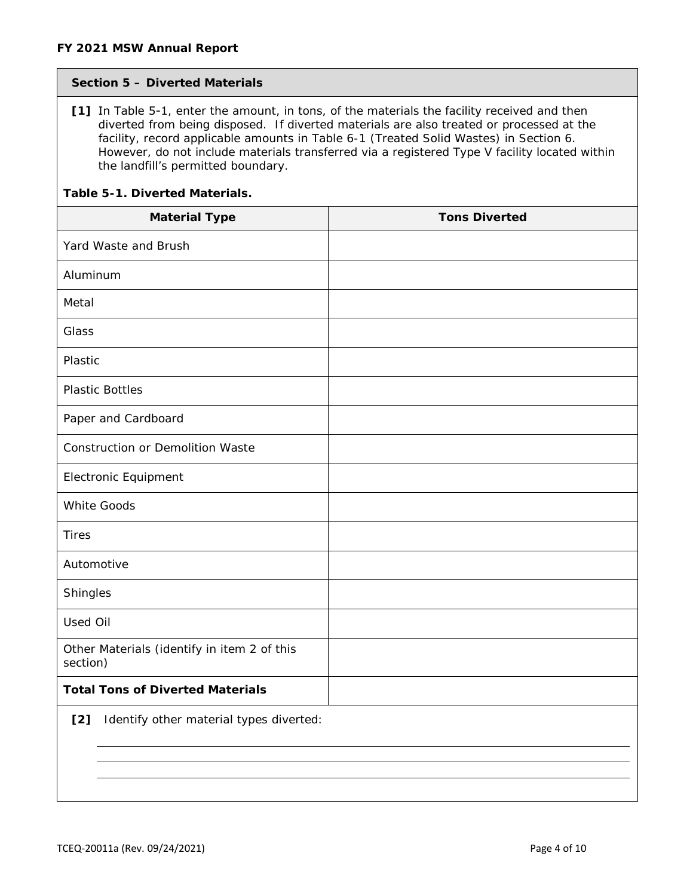#### **Section 5 – Diverted Materials**

 **[1]** In Table 5-1, enter the amount, in tons, of the materials the facility received and then diverted from being disposed. If diverted materials are also treated or processed at the facility, record applicable amounts in Table 6-1 (Treated Solid Wastes) in Section 6. However, do not include materials transferred via a registered Type V facility located within the landfill's permitted boundary.

#### **Table 5-1. Diverted Materials.**

| <b>Material Type</b>                                    | <b>Tons Diverted</b> |
|---------------------------------------------------------|----------------------|
| Yard Waste and Brush                                    |                      |
| Aluminum                                                |                      |
| Metal                                                   |                      |
| Glass                                                   |                      |
| Plastic                                                 |                      |
| <b>Plastic Bottles</b>                                  |                      |
| Paper and Cardboard                                     |                      |
| <b>Construction or Demolition Waste</b>                 |                      |
| Electronic Equipment                                    |                      |
| <b>White Goods</b>                                      |                      |
| <b>Tires</b>                                            |                      |
| Automotive                                              |                      |
| Shingles                                                |                      |
| <b>Used Oil</b>                                         |                      |
| Other Materials (identify in item 2 of this<br>section) |                      |
| <b>Total Tons of Diverted Materials</b>                 |                      |
| Identify other material types diverted:<br>[2]          |                      |
|                                                         |                      |
|                                                         |                      |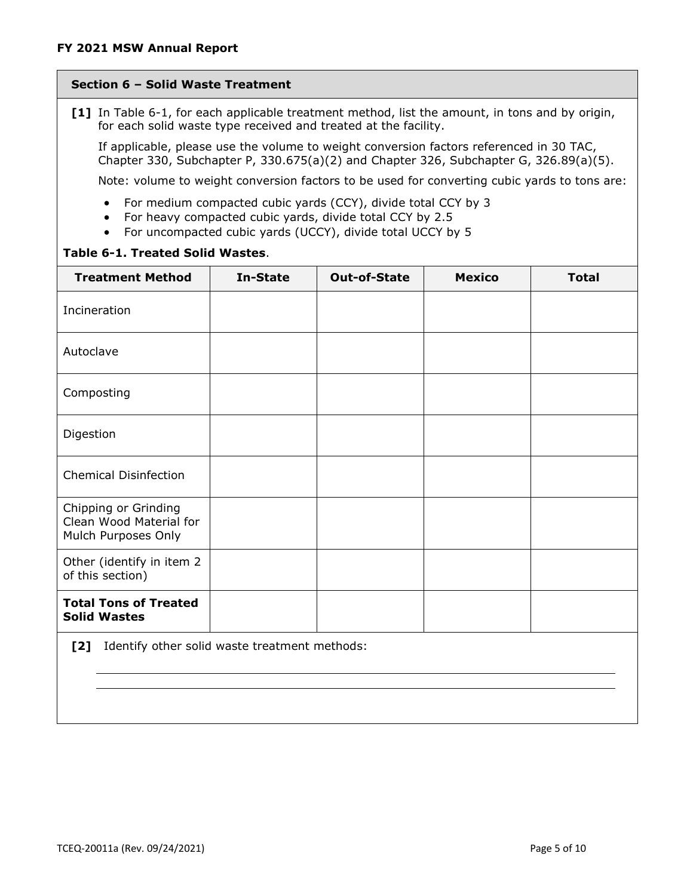#### **Section 6 – Solid Waste Treatment**

 **[1]** In Table 6-1, for each applicable treatment method, list the amount, in tons and by origin, for each solid waste type received and treated at the facility.

 If applicable, please use the volume to weight conversion factors referenced in 30 TAC, Chapter 330, Subchapter P, 330.675(a)(2) and Chapter 326, Subchapter G, 326.89(a)(5).

Note: volume to weight conversion factors to be used for converting cubic yards to tons are:

- For medium compacted cubic yards (CCY), divide total CCY by 3
- For heavy compacted cubic yards, divide total CCY by 2.5
- For uncompacted cubic yards (UCCY), divide total UCCY by 5

# **Table 6-1. Treated Solid Wastes**.

| <b>Treatment Method</b>                                                                                                                                                                                                            | In-State | <b>Out-of-State</b> | <b>Mexico</b> | <b>Total</b> |
|------------------------------------------------------------------------------------------------------------------------------------------------------------------------------------------------------------------------------------|----------|---------------------|---------------|--------------|
| Incineration                                                                                                                                                                                                                       |          |                     |               |              |
| Autoclave                                                                                                                                                                                                                          |          |                     |               |              |
| Composting                                                                                                                                                                                                                         |          |                     |               |              |
| Digestion                                                                                                                                                                                                                          |          |                     |               |              |
| <b>Chemical Disinfection</b>                                                                                                                                                                                                       |          |                     |               |              |
| Chipping or Grinding<br>Clean Wood Material for<br>Mulch Purposes Only                                                                                                                                                             |          |                     |               |              |
| Other (identify in item 2<br>of this section)                                                                                                                                                                                      |          |                     |               |              |
| <b>Total Tons of Treated</b><br><b>Solid Wastes</b>                                                                                                                                                                                |          |                     |               |              |
| $F \oplus T$ . If $F$ is considered in the contract of the largest constant and contract and contract of the contract of the contract of the contract of the contract of the contract of the contract of the contract of the contr |          |                     |               |              |

**[2]** Identify other solid waste treatment methods: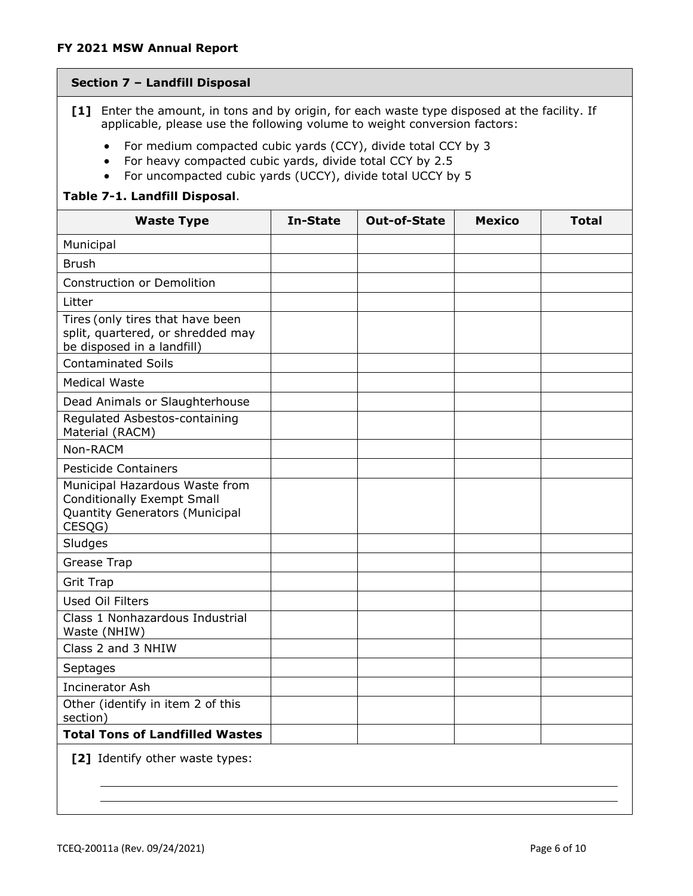#### **Section 7 – Landfill Disposal**

- **[1]** Enter the amount, in tons and by origin, for each waste type disposed at the facility. If applicable, please use the following volume to weight conversion factors:
	- For medium compacted cubic yards (CCY), divide total CCY by 3
	- For heavy compacted cubic yards, divide total CCY by 2.5
	- For uncompacted cubic yards (UCCY), divide total UCCY by 5

# **Table 7-1. Landfill Disposal**.

| <b>Waste Type</b>                                                                                               | <b>In-State</b> | <b>Out-of-State</b> | <b>Mexico</b> | <b>Total</b> |
|-----------------------------------------------------------------------------------------------------------------|-----------------|---------------------|---------------|--------------|
| Municipal                                                                                                       |                 |                     |               |              |
| <b>Brush</b>                                                                                                    |                 |                     |               |              |
| <b>Construction or Demolition</b>                                                                               |                 |                     |               |              |
| Litter                                                                                                          |                 |                     |               |              |
| Tires (only tires that have been<br>split, quartered, or shredded may<br>be disposed in a landfill)             |                 |                     |               |              |
| <b>Contaminated Soils</b>                                                                                       |                 |                     |               |              |
| <b>Medical Waste</b>                                                                                            |                 |                     |               |              |
| Dead Animals or Slaughterhouse                                                                                  |                 |                     |               |              |
| Regulated Asbestos-containing<br>Material (RACM)                                                                |                 |                     |               |              |
| Non-RACM                                                                                                        |                 |                     |               |              |
| <b>Pesticide Containers</b>                                                                                     |                 |                     |               |              |
| Municipal Hazardous Waste from<br><b>Conditionally Exempt Small</b><br>Quantity Generators (Municipal<br>CESQG) |                 |                     |               |              |
| Sludges                                                                                                         |                 |                     |               |              |
| Grease Trap                                                                                                     |                 |                     |               |              |
| <b>Grit Trap</b>                                                                                                |                 |                     |               |              |
| Used Oil Filters                                                                                                |                 |                     |               |              |
| Class 1 Nonhazardous Industrial<br>Waste (NHIW)                                                                 |                 |                     |               |              |
| Class 2 and 3 NHIW                                                                                              |                 |                     |               |              |
| Septages                                                                                                        |                 |                     |               |              |
| <b>Incinerator Ash</b>                                                                                          |                 |                     |               |              |
| Other (identify in item 2 of this<br>section)                                                                   |                 |                     |               |              |
| <b>Total Tons of Landfilled Wastes</b>                                                                          |                 |                     |               |              |
| [2] Identify other waste types:                                                                                 |                 |                     |               |              |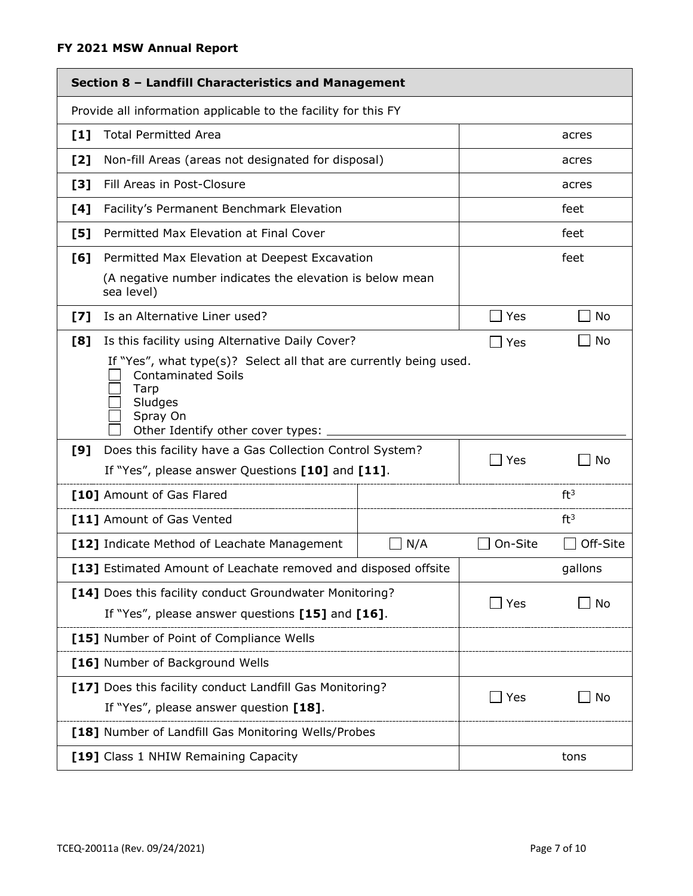|       | Section 8 - Landfill Characteristics and Management                                                                                                                  |            |              |                 |
|-------|----------------------------------------------------------------------------------------------------------------------------------------------------------------------|------------|--------------|-----------------|
|       | Provide all information applicable to the facility for this FY                                                                                                       |            |              |                 |
| $[1]$ | <b>Total Permitted Area</b>                                                                                                                                          |            |              | acres           |
| [2]   | Non-fill Areas (areas not designated for disposal)                                                                                                                   |            |              | acres           |
| [3]   | Fill Areas in Post-Closure                                                                                                                                           |            |              | acres           |
| [4]   | Facility's Permanent Benchmark Elevation                                                                                                                             |            |              | feet            |
| [5]   | Permitted Max Elevation at Final Cover                                                                                                                               |            |              | feet            |
| [6]   | Permitted Max Elevation at Deepest Excavation                                                                                                                        |            |              | feet            |
|       | (A negative number indicates the elevation is below mean<br>sea level)                                                                                               |            |              |                 |
| [7]   | Is an Alternative Liner used?                                                                                                                                        |            | Yes          | No              |
| [8]   | Is this facility using Alternative Daily Cover?                                                                                                                      |            | Yes          | No              |
|       | If "Yes", what type(s)? Select all that are currently being used.<br><b>Contaminated Soils</b><br>Tarp<br>Sludges<br>Spray On<br>Other Identify other cover types: _ |            |              |                 |
| [9]   | Does this facility have a Gas Collection Control System?                                                                                                             |            | $\Box$ Yes   | <b>No</b>       |
|       | If "Yes", please answer Questions [10] and [11].                                                                                                                     |            |              |                 |
|       | [10] Amount of Gas Flared                                                                                                                                            |            |              | ft <sup>3</sup> |
|       | [11] Amount of Gas Vented                                                                                                                                            |            |              | ft <sup>3</sup> |
|       | [12] Indicate Method of Leachate Management                                                                                                                          | $\Box$ N/A | On-Site      | Off-Site        |
|       | [13] Estimated Amount of Leachate removed and disposed offsite                                                                                                       |            |              | gallons         |
|       | [14] Does this facility conduct Groundwater Monitoring?                                                                                                              |            | $\Box$ Yes   | No              |
|       | If "Yes", please answer questions [15] and [16].                                                                                                                     |            |              |                 |
|       | [15] Number of Point of Compliance Wells                                                                                                                             |            |              |                 |
|       | [16] Number of Background Wells                                                                                                                                      |            |              |                 |
|       | [17] Does this facility conduct Landfill Gas Monitoring?                                                                                                             |            | $\sqcup$ Yes | $\Box$ No       |
|       | If "Yes", please answer question [18].                                                                                                                               |            |              |                 |
|       | [18] Number of Landfill Gas Monitoring Wells/Probes                                                                                                                  |            |              |                 |
|       | [19] Class 1 NHIW Remaining Capacity                                                                                                                                 |            |              | tons            |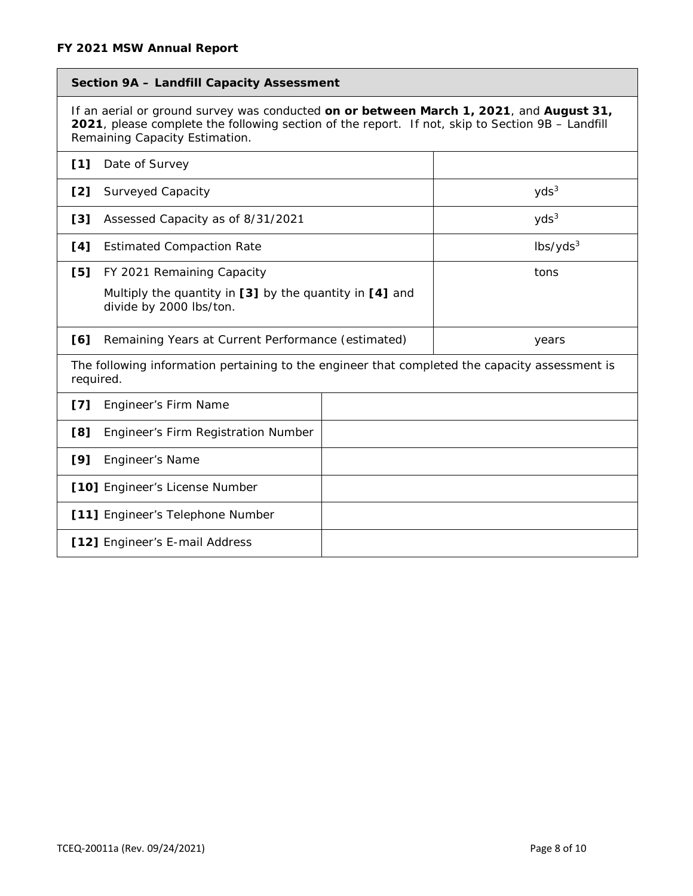# **Section 9A – Landfill Capacity Assessment**

 **2021**, please complete the following section of the report. If not, skip to Section 9B – Landfill If an aerial or ground survey was conducted **on or between March 1, 2021**, and **August 31,**  Remaining Capacity Estimation.

| Date of Survey<br>[1]                                                                                       |                      |
|-------------------------------------------------------------------------------------------------------------|----------------------|
| <b>Surveyed Capacity</b><br>[2]                                                                             | yds <sup>3</sup>     |
| [3]<br>Assessed Capacity as of 8/31/2021                                                                    | yds <sup>3</sup>     |
| [4]<br><b>Estimated Compaction Rate</b>                                                                     | lbs/yds <sup>3</sup> |
| FY 2021 Remaining Capacity<br>[5]                                                                           | tons                 |
| Multiply the quantity in $[3]$ by the quantity in $[4]$ and<br>divide by 2000 lbs/ton.                      |                      |
| [6]<br>Remaining Years at Current Performance (estimated)                                                   | years                |
| The following information pertaining to the engineer that completed the capacity assessment is<br>required. |                      |
| Engineer's Firm Name<br>[7]                                                                                 |                      |
| [8]<br>Engineer's Firm Registration Number                                                                  |                      |
| [9]<br>Engineer's Name                                                                                      |                      |
| [10] Engineer's License Number                                                                              |                      |
| [11] Engineer's Telephone Number                                                                            |                      |
| [12] Engineer's E-mail Address                                                                              |                      |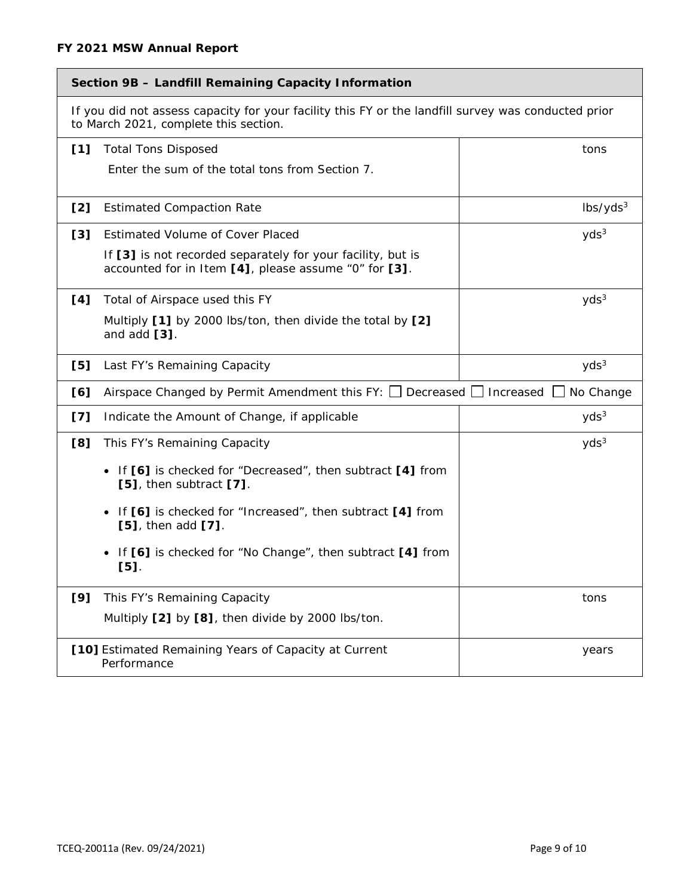#### **Section 9B – Landfill Remaining Capacity Information**

|     | If you did not assess capacity for your facility this FY or the landfill survey was conducted prior<br>to March 2021, complete this section. |                      |
|-----|----------------------------------------------------------------------------------------------------------------------------------------------|----------------------|
| [1] | <b>Total Tons Disposed</b>                                                                                                                   | tons                 |
|     | Enter the sum of the total tons from Section 7.                                                                                              |                      |
|     |                                                                                                                                              |                      |
| [2] | <b>Estimated Compaction Rate</b>                                                                                                             | lbs/yds <sup>3</sup> |
| [3] | <b>Estimated Volume of Cover Placed</b>                                                                                                      | yds <sup>3</sup>     |
|     | If [3] is not recorded separately for your facility, but is<br>accounted for in Item [4], please assume "0" for [3].                         |                      |
| [4] | Total of Airspace used this FY                                                                                                               | yds <sup>3</sup>     |
|     | Multiply [1] by 2000 lbs/ton, then divide the total by [2]<br>and add [3].                                                                   |                      |
| [5] | Last FY's Remaining Capacity                                                                                                                 | yds <sup>3</sup>     |
| [6] | Airspace Changed by Permit Amendment this FY: $\Box$ Decreased $\Box$ Increased                                                              | $\Box$ No Change     |
| [7] | Indicate the Amount of Change, if applicable                                                                                                 | yds <sup>3</sup>     |
| [8] | This FY's Remaining Capacity                                                                                                                 | yds <sup>3</sup>     |
|     | If [6] is checked for "Decreased", then subtract [4] from<br>[5], then subtract [7].                                                         |                      |
|     | If [6] is checked for "Increased", then subtract [4] from<br>[5], then add [7].                                                              |                      |
|     | If [6] is checked for "No Change", then subtract [4] from<br>$[5]$ .                                                                         |                      |
| [9] | This FY's Remaining Capacity                                                                                                                 | tons                 |
|     | Multiply [2] by [8], then divide by 2000 lbs/ton.                                                                                            |                      |
|     | [10] Estimated Remaining Years of Capacity at Current                                                                                        | years                |

Performance